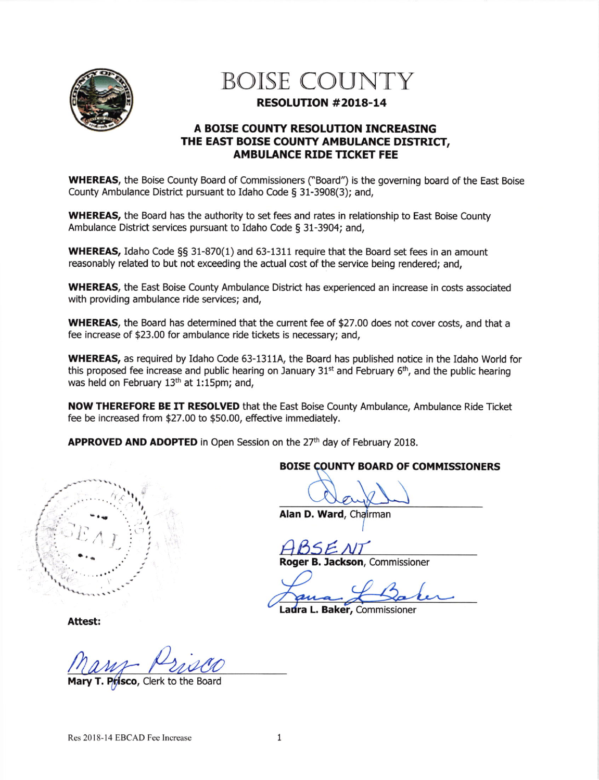

# **BOISE COUNTY**

## RESOLUTION #2018-14

## A BOISE COUNTY RESOLUTION INCREASING THE EAST BOISE COUNTY AMBULANCE DISTRICT, **AMBULANCE RIDE TICKET FEE**

**WHEREAS**, the Boise County Board of Commissioners ("Board") is the governing board of the East Boise County Ambulance District pursuant to Idaho Code § 31-3908(3); and,

**WHEREAS**, the Board has the authority to set fees and rates in relationship to East Boise County Ambulance District services pursuant to Idaho Code § 31-3904; and,

**WHEREAS, Idaho Code §§ 31-870(1) and 63-1311 require that the Board set fees in an amount** reasonably related to but not exceeding the actual cost of the service being rendered; and,

**WHEREAS**, the East Boise County Ambulance District has experienced an increase in costs associated with providing ambulance ride services; and,

**WHEREAS**, the Board has determined that the current fee of \$27.00 does not cover costs, and that a fee increase of \$23.00 for ambulance ride tickets is necessary; and,

**WHEREAS, as required by Idaho Code 63-1311A, the Board has published notice in the Idaho World for** this proposed fee increase and public hearing on January 31<sup>st</sup> and February 6<sup>th</sup>, and the public hearing was held on February 13<sup>th</sup> at 1:15pm; and,

NOW THEREFORE BE IT RESOLVED that the East Boise County Ambulance, Ambulance Ride Ticket fee be increased from \$27.00 to \$50.00, effective immediately.

APPROVED AND ADOPTED in Open Session on the 27th day of February 2018.



# **BOISE COUNTY BOARD OF COMMISSIONERS**

Alan D. Ward, Chairman

Roger B. Jackson, Commissioner

Ladra L. Baker, Commissioner

Attest:

Mary T. Prisco, Clerk to the Board